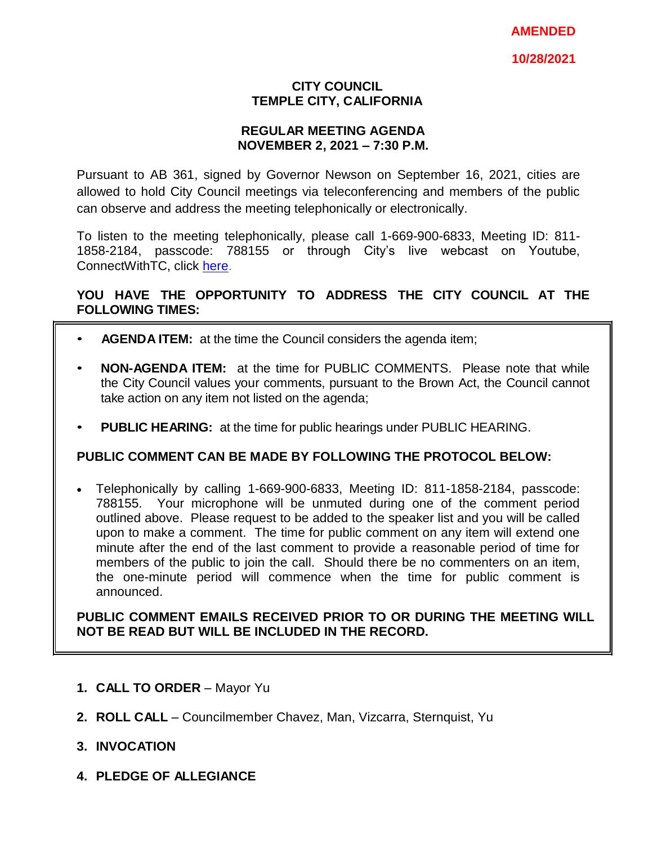### **CITY COUNCIL TEMPLE CITY, CALIFORNIA**

### **REGULAR MEETING AGENDA NOVEMBER 2, 2021 – 7:30 P.M.**

Pursuant to AB 361, signed by Governor Newson on September 16, 2021, cities are allowed to hold City Council meetings via teleconferencing and members of the public can observe and address the meeting telephonically or electronically.

To listen to the meeting telephonically, please call 1-669-900-6833, Meeting ID: 811- 1858-2184, passcode: 788155 or through City's live webcast on Youtube, ConnectWithTC, click [here.](https://www.ci.temple-city.ca.us/516/Meeting-Webcast)

## **YOU HAVE THE OPPORTUNITY TO ADDRESS THE CITY COUNCIL AT THE FOLLOWING TIMES:**

- **AGENDA ITEM:** at the time the Council considers the agenda item;
- **NON-AGENDA ITEM:** at the time for PUBLIC COMMENTS. Please note that while the City Council values your comments, pursuant to the Brown Act, the Council cannot take action on any item not listed on the agenda;
- **PUBLIC HEARING:** at the time for public hearings under PUBLIC HEARING.

### **PUBLIC COMMENT CAN BE MADE BY FOLLOWING THE PROTOCOL BELOW:**

 Telephonically by calling 1-669-900-6833, Meeting ID: 811-1858-2184, passcode: 788155. Your microphone will be unmuted during one of the comment period outlined above. Please request to be added to the speaker list and you will be called upon to make a comment. The time for public comment on any item will extend one minute after the end of the last comment to provide a reasonable period of time for members of the public to join the call. Should there be no commenters on an item, the one-minute period will commence when the time for public comment is announced.

**PUBLIC COMMENT EMAILS RECEIVED PRIOR TO OR DURING THE MEETING WILL NOT BE READ BUT WILL BE INCLUDED IN THE RECORD.**

- **1. CALL TO ORDER**  Mayor Yu
- **2. ROLL CALL**  Councilmember Chavez, Man, Vizcarra, Sternquist, Yu
- **3. INVOCATION**
- **4. PLEDGE OF ALLEGIANCE**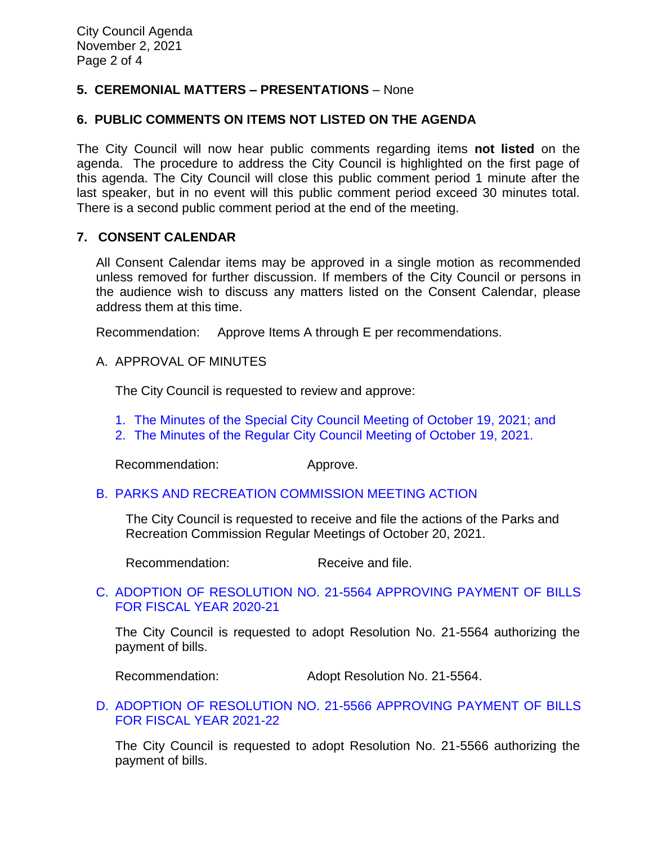# **5. CEREMONIAL MATTERS – PRESENTATIONS** – None

## **6. PUBLIC COMMENTS ON ITEMS NOT LISTED ON THE AGENDA**

The City Council will now hear public comments regarding items **not listed** on the agenda. The procedure to address the City Council is highlighted on the first page of this agenda. The City Council will close this public comment period 1 minute after the last speaker, but in no event will this public comment period exceed 30 minutes total. There is a second public comment period at the end of the meeting.

### **7. CONSENT CALENDAR**

All Consent Calendar items may be approved in a single motion as recommended unless removed for further discussion. If members of the City Council or persons in the audience wish to discuss any matters listed on the Consent Calendar, please address them at this time.

Recommendation: Approve Items A through E per recommendations.

#### A. APPROVAL OF MINUTES

The City Council is requested to review and approve:

- 1. The Minutes of the Special [City Council Meeting of October 19, 2021; and](https://www.ci.temple-city.ca.us/DocumentCenter/View/16932/7A1_CCM---2021-10-19-Special)
- 2. [The Minutes of the Regular City Council Meeting of October 19,](https://www.ci.temple-city.ca.us/DocumentCenter/View/16933/7A2_CCM---2021-10-19) 2021.

Recommendation: Approve.

#### B. [PARKS AND RECREATION](https://www.ci.temple-city.ca.us/DocumentCenter/View/16934/7B_PRC-Regular-Meeting-Actions_Staff-Report) COMMISSION MEETING ACTION

The City Council is requested to receive and file the actions of the Parks and Recreation Commission Regular Meetings of October 20, 2021.

Recommendation: Receive and file.

### C. [ADOPTION OF RESOLUTION NO. 21-5564 APPROVING PAYMENT OF BILLS](https://www.ci.temple-city.ca.us/DocumentCenter/View/16935/7B_Reso-No-21-5564-110221---Warrants--Demands-FY-2020-2021-w-attachment)  [FOR FISCAL YEAR 2020-21](https://www.ci.temple-city.ca.us/DocumentCenter/View/16935/7B_Reso-No-21-5564-110221---Warrants--Demands-FY-2020-2021-w-attachment)

The City Council is requested to adopt Resolution No. 21-5564 authorizing the payment of bills.

Recommendation: Adopt Resolution No. 21-5564.

### D. [ADOPTION OF RESOLUTION NO. 21-5566](https://www.ci.temple-city.ca.us/DocumentCenter/View/16936/7D_Reso-No-21-5566-110221---Warrants--Demands-FY-2021-2022-w-attachment) APPROVING PAYMENT OF BILLS [FOR FISCAL YEAR 2021-22](https://www.ci.temple-city.ca.us/DocumentCenter/View/16936/7D_Reso-No-21-5566-110221---Warrants--Demands-FY-2021-2022-w-attachment)

The City Council is requested to adopt Resolution No. 21-5566 authorizing the payment of bills.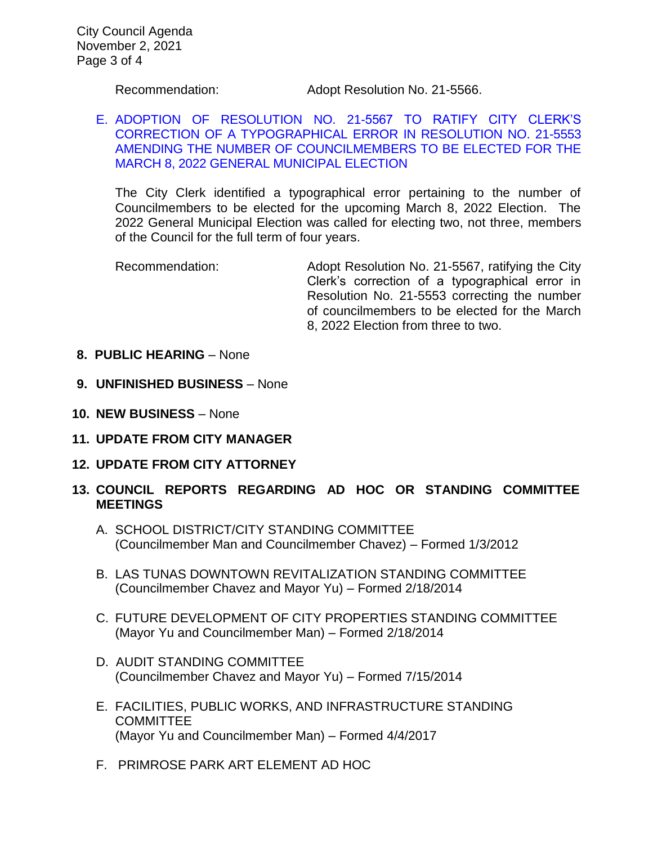Recommendation: Adopt Resolution No. 21-5566.

## E. [ADOPTION OF RESOLUTION NO. 21-5567 TO RATIFY CITY CLERK'S](https://www.ci.temple-city.ca.us/DocumentCenter/View/16940/07-7E_Staff-Report--Resolution-21-5567-Correction-to-Reso-No-21-5553-Call-for-Election-w-at)  [CORRECTION OF A TYPOGRAPHICAL ERROR IN RESOLUTION NO. 21-5553](https://www.ci.temple-city.ca.us/DocumentCenter/View/16940/07-7E_Staff-Report--Resolution-21-5567-Correction-to-Reso-No-21-5553-Call-for-Election-w-at)  [AMENDING THE NUMBER OF COUNCILMEMBERS TO BE ELECTED FOR THE](https://www.ci.temple-city.ca.us/DocumentCenter/View/16940/07-7E_Staff-Report--Resolution-21-5567-Correction-to-Reso-No-21-5553-Call-for-Election-w-at)  [MARCH 8, 2022 GENERAL MUNICIPAL ELECTION](https://www.ci.temple-city.ca.us/DocumentCenter/View/16940/07-7E_Staff-Report--Resolution-21-5567-Correction-to-Reso-No-21-5553-Call-for-Election-w-at)

The City Clerk identified a typographical error pertaining to the number of Councilmembers to be elected for the upcoming March 8, 2022 Election. The 2022 General Municipal Election was called for electing two, not three, members of the Council for the full term of four years.

Recommendation: Adopt Resolution No. 21-5567, ratifying the City Clerk's correction of a typographical error in Resolution No. 21-5553 correcting the number of councilmembers to be elected for the March 8, 2022 Election from three to two.

- **8. PUBLIC HEARING** None
- **9. UNFINISHED BUSINESS** None
- **10. NEW BUSINESS**  None
- **11. UPDATE FROM CITY MANAGER**
- **12. UPDATE FROM CITY ATTORNEY**
- **13. COUNCIL REPORTS REGARDING AD HOC OR STANDING COMMITTEE MEETINGS** 
	- A. SCHOOL DISTRICT/CITY STANDING COMMITTEE (Councilmember Man and Councilmember Chavez) – Formed 1/3/2012
	- B. LAS TUNAS DOWNTOWN REVITALIZATION STANDING COMMITTEE (Councilmember Chavez and Mayor Yu) – Formed 2/18/2014
	- C. FUTURE DEVELOPMENT OF CITY PROPERTIES STANDING COMMITTEE (Mayor Yu and Councilmember Man) – Formed 2/18/2014
	- D. AUDIT STANDING COMMITTEE (Councilmember Chavez and Mayor Yu) – Formed 7/15/2014
	- E. FACILITIES, PUBLIC WORKS, AND INFRASTRUCTURE STANDING **COMMITTEE** (Mayor Yu and Councilmember Man) – Formed 4/4/2017
	- F. PRIMROSE PARK ART ELEMENT AD HOC